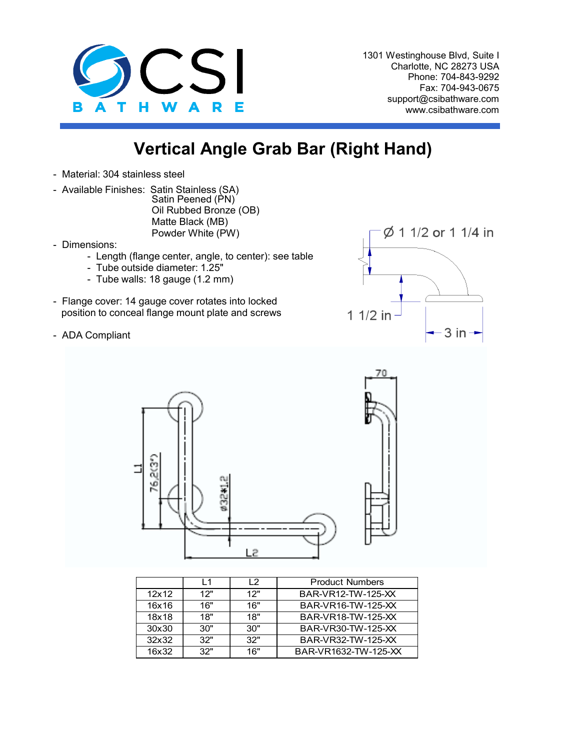

1301 Westinghouse Blvd, Suite I Charlotte, NC 28273 USA Phone: 704-843-9292 Fax: 704-943-0675 support@csibathware.com www.csibathware.com

## **Vertical Angle Grab Bar (Right Hand)**

- Material: 304 stainless steel
- Available Finishes: Satin Stainless (SA) Satin Peened (PN) Oil Rubbed Bronze (OB) Matte Black (MB) Powder White (PW)
- Dimensions:
	- Length (flange center, angle, to center): see table
	- Tube outside diameter: 1.25"
	- Tube walls: 18 gauge (1.2 mm)
- Flange cover: 14 gauge cover rotates into locked position to conceal flange mount plate and screws
- ADA Compliant





|       | l 1 | l 2 | <b>Product Numbers</b> |
|-------|-----|-----|------------------------|
| 12x12 | 12" | 12" | BAR-VR12-TW-125-XX     |
| 16x16 | 16" | 16" | BAR-VR16-TW-125-XX     |
| 18x18 | 18" | 18" | BAR-VR18-TW-125-XX     |
| 30x30 | 30" | 30" | BAR-VR30-TW-125-XX     |
| 32x32 | 32" | 32" | BAR-VR32-TW-125-XX     |
| 16x32 | 32" | 16" | BAR-VR1632-TW-125-XX   |